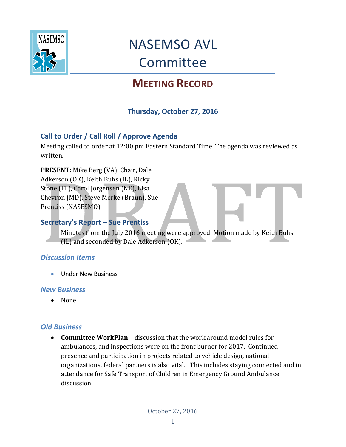

## NASEMSO AVL Committee

### **MEETING RECORD**

#### **Thursday, October 27, 2016**

#### **Call to Order / Call Roll / Approve Agenda**

Meeting called to order at 12:00 pm Eastern Standard Time. The agenda was reviewed as written.

**PRESENT:** Mike Berg (VA), Chair, Dale Adkerson (OK), Keith Buhs (IL), Ricky Stone (FL), Carol Jorgensen (NE), Lisa Chevron (MD), Steve Merke (Braun), Sue Prentiss (NASESMO)

#### **Secretary's Report – Sue Prentiss**

Minutes from the July 2016 meeting were approved. Motion made by Keith Buhs (IL) and seconded by Dale Adkerson (OK).

#### *Discussion Items*

**Under New Business** 

#### *New Business*

• None

#### *Old Business*

 **Committee WorkPlan** – discussion that the work around model rules for ambulances, and inspections were on the front burner for 2017. Continued presence and participation in projects related to vehicle design, national organizations, federal partners is also vital. This includes staying connected and in attendance for Safe Transport of Children in Emergency Ground Ambulance discussion.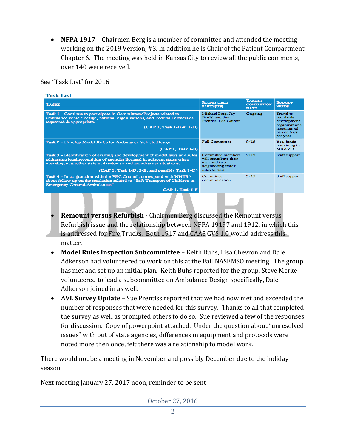**NFPA 1917** – Chairmen Berg is a member of committee and attended the meeting working on the 2019 Version, #3. In addition he is Chair of the Patient Compartment Chapter 6. The meeting was held in Kansas City to review all the public comments, over 140 were received.

See "Task List" for 2016

| <b>Task List</b>                                                                                                                                                                                                                                                                   |                                                                                                     |                                                   |                                                                                                          |
|------------------------------------------------------------------------------------------------------------------------------------------------------------------------------------------------------------------------------------------------------------------------------------|-----------------------------------------------------------------------------------------------------|---------------------------------------------------|----------------------------------------------------------------------------------------------------------|
| <b>TASKS</b>                                                                                                                                                                                                                                                                       | <b>RESPONSIBLE</b><br>PARTY(IES)                                                                    | <b>TARGET</b><br><b>COMPLETION</b><br><b>DATE</b> | <b>BUDGET</b><br><b>NEEDS</b>                                                                            |
| <b>Task 1</b> – Continue to participate in Committees/Projects related to<br>ambulance vehicle design, national organizations, and Federal Partners as<br>requested & appropriate.<br>(CAP 1, Task 1-B & 1-D)                                                                      | Michael Berg, Jay<br>Bradshaw, Sue<br>Prentiss, Dia Gainor                                          | Ongoing                                           | <b>Travel</b> to<br>standards<br>development<br>organizations<br>meetings x6<br>person trips<br>per year |
| Task 2 – Develop Model Rules for Ambulance Vehicle Design<br>(CAP 1, Task 1-B)                                                                                                                                                                                                     | <b>Full Committee</b>                                                                               | 9/15                                              | Yes, funds<br>remaining in<br><b>MRAVD</b>                                                               |
| Task 3 – Identification of existing and development of model laws and rules<br>addressing legal recognition of agencies licensed in adjacent states when<br>operating in another state in day-to-day and non-disaster situations.<br>(CAP 1, Task 1-D, 3-E, and possibly Task 1-C) | Committee members<br>will contribute their<br>own and two<br>neighboring states'<br>rules to start. | 9/15                                              | Staff support                                                                                            |
| Task 4 – In conjunction with the PEC Council, correspond with NHTSA<br>about follow up on the resolution related to "Safe Transport of Children in<br><b>Emergency Ground Ambulances"</b><br>CAP 1, Task 1-F                                                                       | Committee<br>communication                                                                          | 3/15                                              | Staff support                                                                                            |
|                                                                                                                                                                                                                                                                                    |                                                                                                     |                                                   |                                                                                                          |

- **Remount versus Refurbish** Chairmen Berg discussed the Remount versus Refurbish issue and the relationship between NFPA 19197 and 1912, in which this is addressed for Fire Trucks. Both 1917 and CAAS GVS 1.0 would address this matter.
- **Model Rules Inspection Subcommittee**  Keith Buhs, Lisa Chevron and Dale Adkerson had volunteered to work on this at the Fall NASEMSO meeting. The group has met and set up an initial plan. Keith Buhs reported for the group. Steve Merke volunteered to lead a subcommittee on Ambulance Design specifically, Dale Adkerson joined in as well.
- **AVL Survey Update** Sue Prentiss reported that we had now met and exceeded the number of responses that were needed for this survey. Thanks to all that completed the survey as well as prompted others to do so. Sue reviewed a few of the responses for discussion. Copy of powerpoint attached. Under the question about "unresolved issues" with out of state agencies, differences in equipment and protocols were noted more then once, felt there was a relationship to model work.

There would not be a meeting in November and possibly December due to the holiday season.

Next meeting January 27, 2017 noon, reminder to be sent

October 27, 2016